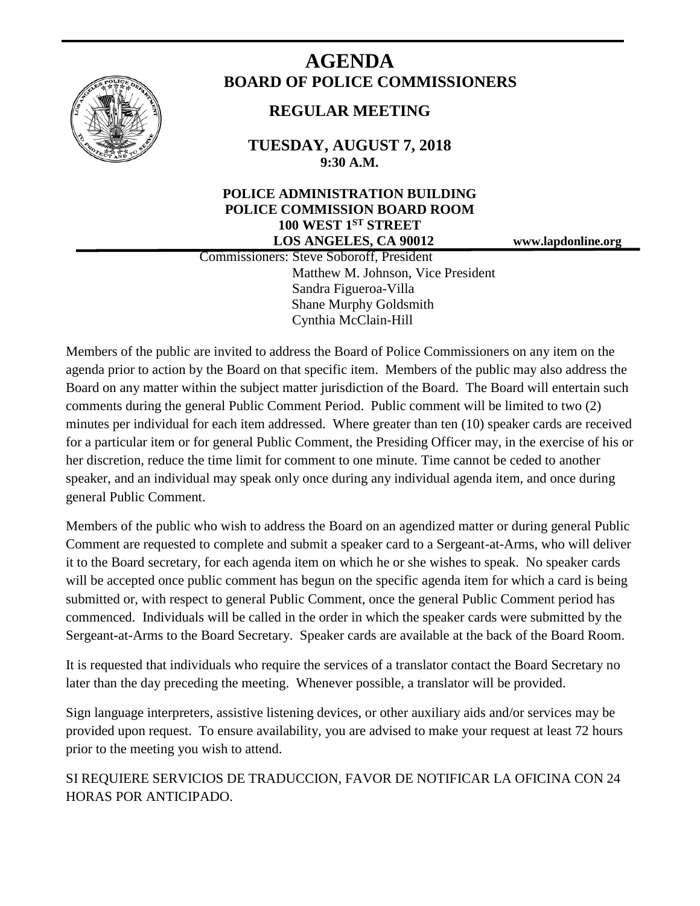

# **AGENDA BOARD OF POLICE COMMISSIONERS**

# **REGULAR MEETING**

**TUESDAY, AUGUST 7, 2018 9:30 A.M.**

# **POLICE ADMINISTRATION BUILDING POLICE COMMISSION BOARD ROOM 100 WEST 1ST STREET LOS ANGELES, CA 90012 www.lapdonline.org**

 Commissioners: Steve Soboroff, President Matthew M. Johnson, Vice President Sandra Figueroa-Villa Shane Murphy Goldsmith Cynthia McClain-Hill

Members of the public are invited to address the Board of Police Commissioners on any item on the agenda prior to action by the Board on that specific item. Members of the public may also address the Board on any matter within the subject matter jurisdiction of the Board. The Board will entertain such comments during the general Public Comment Period. Public comment will be limited to two (2) minutes per individual for each item addressed. Where greater than ten (10) speaker cards are received for a particular item or for general Public Comment, the Presiding Officer may, in the exercise of his or her discretion, reduce the time limit for comment to one minute. Time cannot be ceded to another speaker, and an individual may speak only once during any individual agenda item, and once during general Public Comment.

Members of the public who wish to address the Board on an agendized matter or during general Public Comment are requested to complete and submit a speaker card to a Sergeant-at-Arms, who will deliver it to the Board secretary, for each agenda item on which he or she wishes to speak. No speaker cards will be accepted once public comment has begun on the specific agenda item for which a card is being submitted or, with respect to general Public Comment, once the general Public Comment period has commenced. Individuals will be called in the order in which the speaker cards were submitted by the Sergeant-at-Arms to the Board Secretary. Speaker cards are available at the back of the Board Room.

It is requested that individuals who require the services of a translator contact the Board Secretary no later than the day preceding the meeting. Whenever possible, a translator will be provided.

Sign language interpreters, assistive listening devices, or other auxiliary aids and/or services may be provided upon request. To ensure availability, you are advised to make your request at least 72 hours prior to the meeting you wish to attend.

SI REQUIERE SERVICIOS DE TRADUCCION, FAVOR DE NOTIFICAR LA OFICINA CON 24 HORAS POR ANTICIPADO.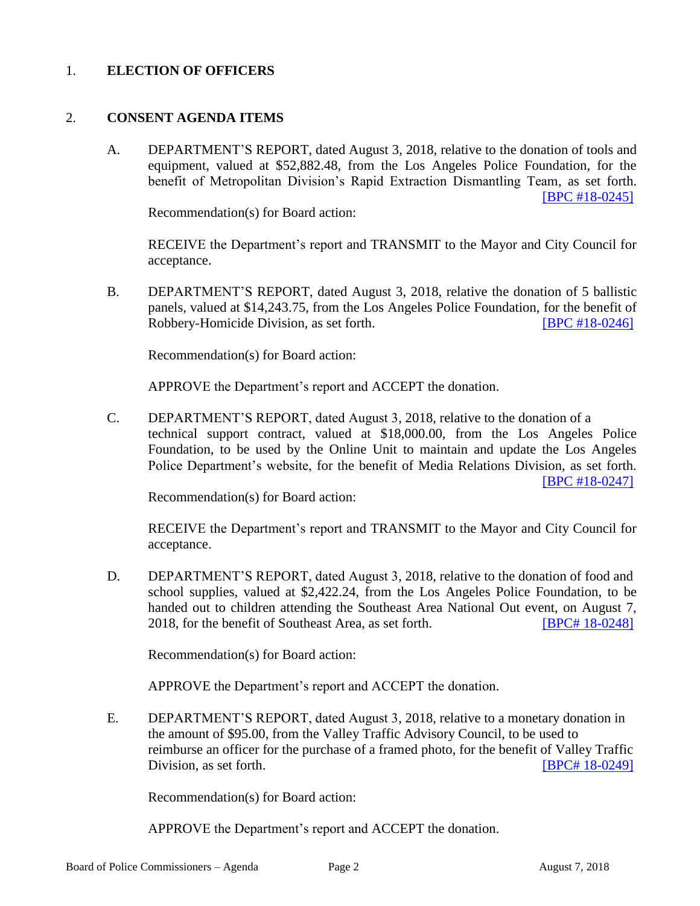#### 1. **ELECTION OF OFFICERS**

#### 2. **CONSENT AGENDA ITEMS**

A. DEPARTMENT'S REPORT, dated August 3, 2018, relative to the donation of tools and equipment, valued at \$52,882.48, from the Los Angeles Police Foundation, for the benefit of Metropolitan Division's Rapid Extraction Dismantling Team, as set forth. [\[BPC #18-0245\]](http://www.lapdpolicecom.lacity.org/080718/BPC_18-0245.pdf)

Recommendation(s) for Board action:

RECEIVE the Department's report and TRANSMIT to the Mayor and City Council for acceptance.

B. DEPARTMENT'S REPORT, dated August 3, 2018, relative the donation of 5 ballistic panels, valued at \$14,243.75, from the Los Angeles Police Foundation, for the benefit of Robbery-Homicide Division, as set forth. [\[BPC #18-0246\]](http://www.lapdpolicecom.lacity.org/080718/BPC_18-0246.pdf)

Recommendation(s) for Board action:

APPROVE the Department's report and ACCEPT the donation.

C. DEPARTMENT'S REPORT, dated August 3, 2018, relative to the donation of a technical support contract, valued at \$18,000.00, from the Los Angeles Police Foundation, to be used by the Online Unit to maintain and update the Los Angeles Police Department's website, for the benefit of Media Relations Division, as set forth. [\[BPC #18-0247\]](http://www.lapdpolicecom.lacity.org/080718/BPC_18-0247.pdf)

Recommendation(s) for Board action:

RECEIVE the Department's report and TRANSMIT to the Mayor and City Council for acceptance.

D. DEPARTMENT'S REPORT, dated August 3, 2018, relative to the donation of food and school supplies, valued at \$2,422.24, from the Los Angeles Police Foundation, to be handed out to children attending the Southeast Area National Out event, on August 7, 2018, for the benefit of Southeast Area, as set forth. [\[BPC# 18-0248\]](http://www.lapdpolicecom.lacity.org/080718/BPC_18-0248.pdf)

Recommendation(s) for Board action:

APPROVE the Department's report and ACCEPT the donation.

E. DEPARTMENT'S REPORT, dated August 3, 2018, relative to a monetary donation in the amount of \$95.00, from the Valley Traffic Advisory Council, to be used to reimburse an officer for the purchase of a framed photo, for the benefit of Valley Traffic Division, as set forth. **[BPC# [18-0249\]](http://www.lapdpolicecom.lacity.org/080718/BPC_18-0249.pdf)** 

Recommendation(s) for Board action:

APPROVE the Department's report and ACCEPT the donation.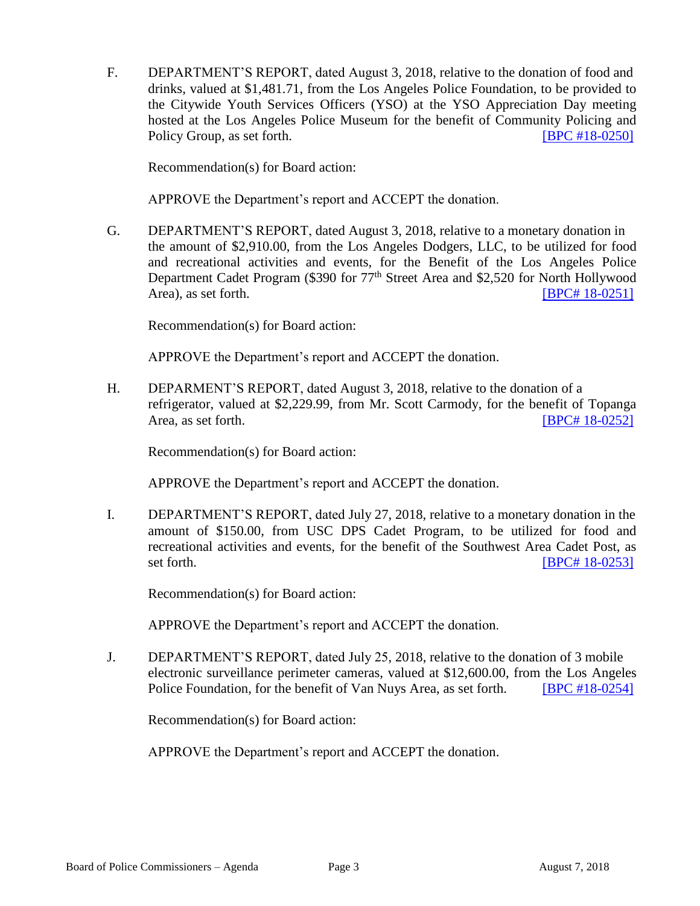F. DEPARTMENT'S REPORT, dated August 3, 2018, relative to the donation of food and drinks, valued at \$1,481.71, from the Los Angeles Police Foundation, to be provided to the Citywide Youth Services Officers (YSO) at the YSO Appreciation Day meeting hosted at the Los Angeles Police Museum for the benefit of Community Policing and Policy Group, as set forth. **[\[BPC #18-0250\]](http://www.lapdpolicecom.lacity.org/080718/BPC_18-0250.pdf)** 

Recommendation(s) for Board action:

APPROVE the Department's report and ACCEPT the donation.

G. DEPARTMENT'S REPORT, dated August 3, 2018, relative to a monetary donation in the amount of \$2,910.00, from the Los Angeles Dodgers, LLC, to be utilized for food and recreational activities and events, for the Benefit of the Los Angeles Police Department Cadet Program (\$390 for 77<sup>th</sup> Street Area and \$2,520 for North Hollywood Area), as set forth. **IDPC#** [18-0251\]](http://www.lapdpolicecom.lacity.org/080718/BPC_18-0251.pdf)

Recommendation(s) for Board action:

APPROVE the Department's report and ACCEPT the donation.

H. DEPARMENT'S REPORT, dated August 3, 2018, relative to the donation of a refrigerator, valued at \$2,229.99, from Mr. Scott Carmody, for the benefit of Topanga Area, as set forth. **IDPC# 18-0252** 

Recommendation(s) for Board action:

APPROVE the Department's report and ACCEPT the donation.

I. DEPARTMENT'S REPORT, dated July 27, 2018, relative to a monetary donation in the amount of \$150.00, from USC DPS Cadet Program, to be utilized for food and recreational activities and events, for the benefit of the Southwest Area Cadet Post, as set forth. **IBPC# 18-0253** 

Recommendation(s) for Board action:

APPROVE the Department's report and ACCEPT the donation.

J. DEPARTMENT'S REPORT, dated July 25, 2018, relative to the donation of 3 mobile electronic surveillance perimeter cameras, valued at \$12,600.00, from the Los Angeles Police Foundation, for the benefit of Van Nuys Area, as set forth. **IBPC #18-0254]** 

Recommendation(s) for Board action:

APPROVE the Department's report and ACCEPT the donation.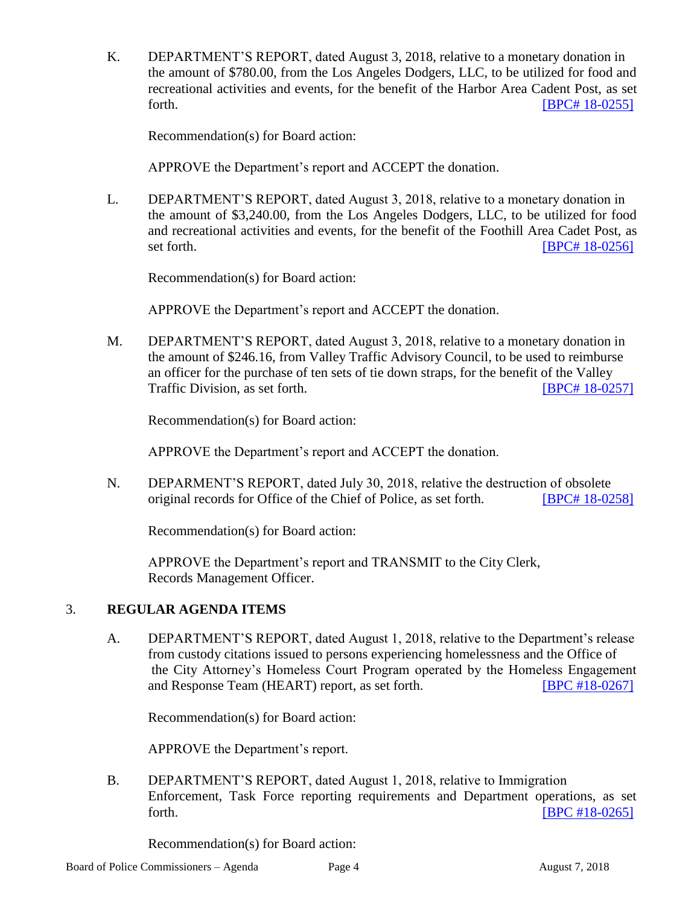K. DEPARTMENT'S REPORT, dated August 3, 2018, relative to a monetary donation in the amount of \$780.00, from the Los Angeles Dodgers, LLC, to be utilized for food and recreational activities and events, for the benefit of the Harbor Area Cadent Post, as set forth. **IBPC# [18-0255\]](http://www.lapdpolicecom.lacity.org/080718/BPC_18-0255.pdf)** 

Recommendation(s) for Board action:

APPROVE the Department's report and ACCEPT the donation.

L. DEPARTMENT'S REPORT, dated August 3, 2018, relative to a monetary donation in the amount of \$3,240.00, from the Los Angeles Dodgers, LLC, to be utilized for food and recreational activities and events, for the benefit of the Foothill Area Cadet Post, as set forth. **IBPC# 18-0256** 

Recommendation(s) for Board action:

APPROVE the Department's report and ACCEPT the donation.

M. DEPARTMENT'S REPORT, dated August 3, 2018, relative to a monetary donation in the amount of \$246.16, from Valley Traffic Advisory Council, to be used to reimburse an officer for the purchase of ten sets of tie down straps, for the benefit of the Valley Traffic Division, as set forth. **ISPC 4** [18-0257\]](http://www.lapdpolicecom.lacity.org/080718/BPC_18-0257.pdf)

Recommendation(s) for Board action:

APPROVE the Department's report and ACCEPT the donation.

N. DEPARMENT'S REPORT, dated July 30, 2018, relative the destruction of obsolete original records for Office of the Chief of Police, as set forth. [BPC# [18-0258\]](http://www.lapdpolicecom.lacity.org/080718/BPC_18-0258.pdf)

Recommendation(s) for Board action:

APPROVE the Department's report and TRANSMIT to the City Clerk, Records Management Officer.

## 3. **REGULAR AGENDA ITEMS**

A. DEPARTMENT'S REPORT, dated August 1, 2018, relative to the Department's release from custody citations issued to persons experiencing homelessness and the Office of the City Attorney's Homeless Court Program operated by the Homeless Engagement and Response Team (HEART) report, as set forth. [\[BPC #18-0267\]](http://www.lapdpolicecom.lacity.org/080718/BPC_18-0267.pdf)

Recommendation(s) for Board action:

APPROVE the Department's report.

B. DEPARTMENT'S REPORT, dated August 1, 2018, relative to Immigration Enforcement, Task Force reporting requirements and Department operations, as set forth. **[\[BPC #18-0265\]](http://www.lapdpolicecom.lacity.org/080718/BPC_18-0265.pdf)** 

Recommendation(s) for Board action: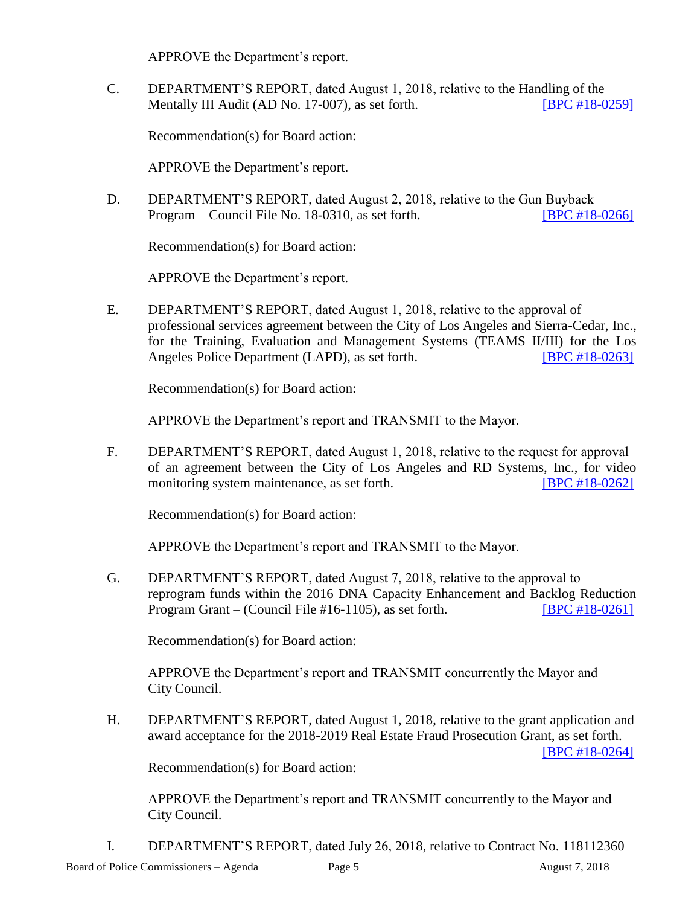APPROVE the Department's report.

C. DEPARTMENT'S REPORT, dated August 1, 2018, relative to the Handling of the Mentally III Audit (AD No. 17-007), as set forth. **[\[BPC #18-0259\]](http://www.lapdpolicecom.lacity.org/080718/BPC_18-0259.pdf)** 

Recommendation(s) for Board action:

APPROVE the Department's report.

D. DEPARTMENT'S REPORT, dated August 2, 2018, relative to the Gun Buyback Program – Council File No. 18-0310, as set forth. [\[BPC #18-0266\]](http://www.lapdpolicecom.lacity.org/080718/BPC_18-0266.pdf)

Recommendation(s) for Board action:

APPROVE the Department's report.

E. DEPARTMENT'S REPORT, dated August 1, 2018, relative to the approval of professional services agreement between the City of Los Angeles and Sierra-Cedar, Inc., for the Training, Evaluation and Management Systems (TEAMS II/III) for the Los Angeles Police Department (LAPD), as set forth. [\[BPC #18-0263\]](http://www.lapdpolicecom.lacity.org/080718/BPC_18-0263.pdf)

Recommendation(s) for Board action:

APPROVE the Department's report and TRANSMIT to the Mayor.

F. DEPARTMENT'S REPORT, dated August 1, 2018, relative to the request for approval of an agreement between the City of Los Angeles and RD Systems, Inc., for video monitoring system maintenance, as set forth. [\[BPC #18-0262\]](http://www.lapdpolicecom.lacity.org/080718/BPC_18-0262.pdf)

Recommendation(s) for Board action:

APPROVE the Department's report and TRANSMIT to the Mayor.

G. DEPARTMENT'S REPORT, dated August 7, 2018, relative to the approval to reprogram funds within the 2016 DNA Capacity Enhancement and Backlog Reduction Program Grant – (Council File #16-1105), as set forth. [\[BPC #18-0261\]](http://www.lapdpolicecom.lacity.org/080718/BPC_18-0261.pdf)

Recommendation(s) for Board action:

APPROVE the Department's report and TRANSMIT concurrently the Mayor and City Council.

H. DEPARTMENT'S REPORT, dated August 1, 2018, relative to the grant application and award acceptance for the 2018-2019 Real Estate Fraud Prosecution Grant, as set forth.

[\[BPC #18-0264\]](http://www.lapdpolicecom.lacity.org/080718/BPC_18-0264.pdf)

Recommendation(s) for Board action:

APPROVE the Department's report and TRANSMIT concurrently to the Mayor and City Council.

I. DEPARTMENT'S REPORT, dated July 26, 2018, relative to Contract No. 118112360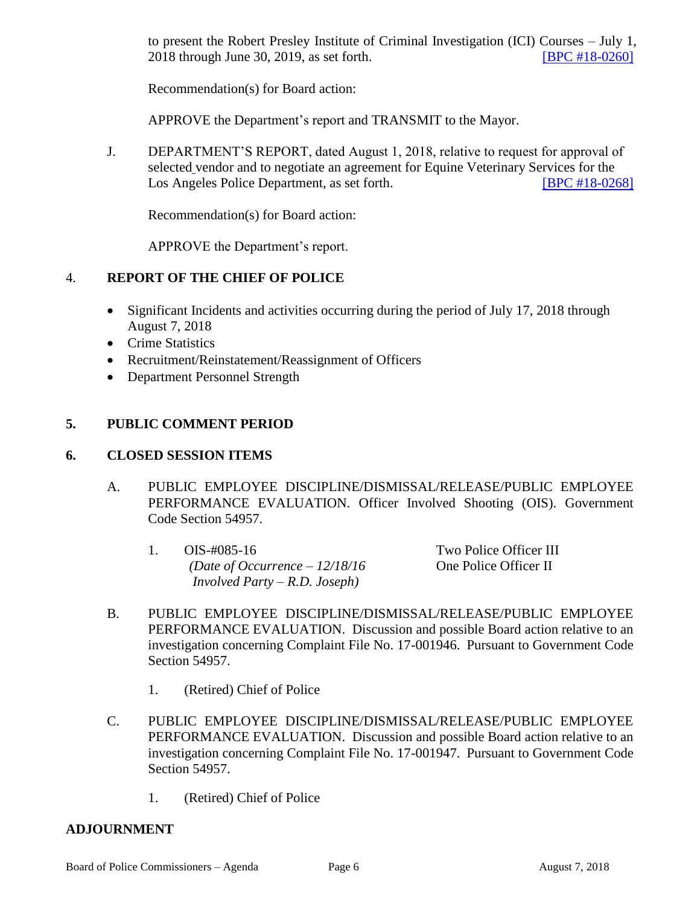to present the Robert Presley Institute of Criminal Investigation (ICI) Courses – July 1, 2018 through June 30, 2019, as set forth. [\[BPC #18-0260\]](http://www.lapdpolicecom.lacity.org/080718/BPC_18-0260.pdf)

Recommendation(s) for Board action:

APPROVE the Department's report and TRANSMIT to the Mayor.

J. DEPARTMENT'S REPORT, dated August 1, 2018, relative to request for approval of selected vendor and to negotiate an agreement for Equine Veterinary Services for the Los Angeles Police Department, as set forth. [\[BPC #18-0268\]](http://www.lapdpolicecom.lacity.org/080718/BPC_18-0268.pdf)

Recommendation(s) for Board action:

APPROVE the Department's report.

## 4. **REPORT OF THE CHIEF OF POLICE**

- Significant Incidents and activities occurring during the period of July 17, 2018 through August 7, 2018
- Crime Statistics
- Recruitment/Reinstatement/Reassignment of Officers
- Department Personnel Strength

## **5. PUBLIC COMMENT PERIOD**

#### **6. CLOSED SESSION ITEMS**

- A. PUBLIC EMPLOYEE DISCIPLINE/DISMISSAL/RELEASE/PUBLIC EMPLOYEE PERFORMANCE EVALUATION. Officer Involved Shooting (OIS). Government Code Section 54957.
	- 1. OIS-#085-16 Two Police Officer III *(Date of Occurrence – 12/18/16* One Police Officer II *Involved Party – R.D. Joseph)*

- B. PUBLIC EMPLOYEE DISCIPLINE/DISMISSAL/RELEASE/PUBLIC EMPLOYEE PERFORMANCE EVALUATION. Discussion and possible Board action relative to an investigation concerning Complaint File No. 17-001946. Pursuant to Government Code Section 54957.
	- 1. (Retired) Chief of Police
- C. PUBLIC EMPLOYEE DISCIPLINE/DISMISSAL/RELEASE/PUBLIC EMPLOYEE PERFORMANCE EVALUATION. Discussion and possible Board action relative to an investigation concerning Complaint File No. 17-001947. Pursuant to Government Code Section 54957.
	- 1. (Retired) Chief of Police

#### **ADJOURNMENT**